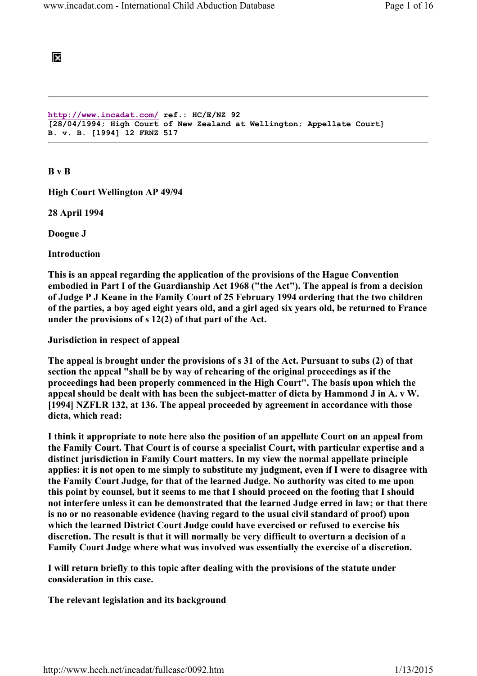# ĪХ

```
http://www.incadat.com/ ref.: HC/E/NZ 92 
[28/04/1994; High Court of New Zealand at Wellington; Appellate Court] 
B. v. B. [1994] 12 FRNZ 517
```
B v B

High Court Wellington AP 49/94

28 April 1994

Doogue J

Introduction

This is an appeal regarding the application of the provisions of the Hague Convention embodied in Part I of the Guardianship Act 1968 ("the Act"). The appeal is from a decision of Judge P J Keane in the Family Court of 25 February 1994 ordering that the two children of the parties, a boy aged eight years old, and a girl aged six years old, be returned to France under the provisions of s 12(2) of that part of the Act.

Jurisdiction in respect of appeal

The appeal is brought under the provisions of s 31 of the Act. Pursuant to subs (2) of that section the appeal "shall be by way of rehearing of the original proceedings as if the proceedings had been properly commenced in the High Court". The basis upon which the appeal should be dealt with has been the subject-matter of dicta by Hammond J in A. v W. [1994] NZFLR 132, at 136. The appeal proceeded by agreement in accordance with those dicta, which read:

I think it appropriate to note here also the position of an appellate Court on an appeal from the Family Court. That Court is of course a specialist Court, with particular expertise and a distinct jurisdiction in Family Court matters. In my view the normal appellate principle applies: it is not open to me simply to substitute my judgment, even if I were to disagree with the Family Court Judge, for that of the learned Judge. No authority was cited to me upon this point by counsel, but it seems to me that I should proceed on the footing that I should not interfere unless it can be demonstrated that the learned Judge erred in law; or that there is no or no reasonable evidence (having regard to the usual civil standard of proof) upon which the learned District Court Judge could have exercised or refused to exercise his discretion. The result is that it will normally be very difficult to overturn a decision of a Family Court Judge where what was involved was essentially the exercise of a discretion.

I will return briefly to this topic after dealing with the provisions of the statute under consideration in this case.

The relevant legislation and its background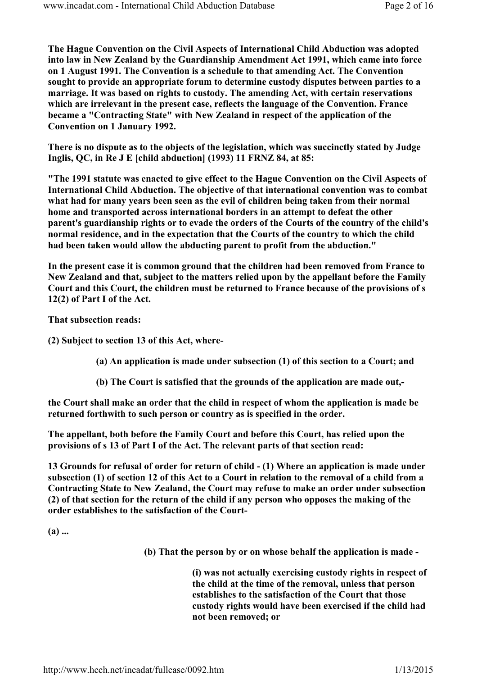The Hague Convention on the Civil Aspects of International Child Abduction was adopted into law in New Zealand by the Guardianship Amendment Act 1991, which came into force on 1 August 1991. The Convention is a schedule to that amending Act. The Convention sought to provide an appropriate forum to determine custody disputes between parties to a marriage. It was based on rights to custody. The amending Act, with certain reservations which are irrelevant in the present case, reflects the language of the Convention. France became a "Contracting State" with New Zealand in respect of the application of the Convention on 1 January 1992.

There is no dispute as to the objects of the legislation, which was succinctly stated by Judge Inglis, QC, in Re J E [child abduction] (1993) 11 FRNZ 84, at 85:

"The 1991 statute was enacted to give effect to the Hague Convention on the Civil Aspects of International Child Abduction. The objective of that international convention was to combat what had for many years been seen as the evil of children being taken from their normal home and transported across international borders in an attempt to defeat the other parent's guardianship rights or to evade the orders of the Courts of the country of the child's normal residence, and in the expectation that the Courts of the country to which the child had been taken would allow the abducting parent to profit from the abduction."

In the present case it is common ground that the children had been removed from France to New Zealand and that, subject to the matters relied upon by the appellant before the Family Court and this Court, the children must be returned to France because of the provisions of s 12(2) of Part I of the Act.

That subsection reads:

(2) Subject to section 13 of this Act, where-

- (a) An application is made under subsection (1) of this section to a Court; and
- (b) The Court is satisfied that the grounds of the application are made out,-

the Court shall make an order that the child in respect of whom the application is made be returned forthwith to such person or country as is specified in the order.

The appellant, both before the Family Court and before this Court, has relied upon the provisions of s 13 of Part I of the Act. The relevant parts of that section read:

13 Grounds for refusal of order for return of child - (1) Where an application is made under subsection (1) of section 12 of this Act to a Court in relation to the removal of a child from a Contracting State to New Zealand, the Court may refuse to make an order under subsection (2) of that section for the return of the child if any person who opposes the making of the order establishes to the satisfaction of the Court-

(a) ...

(b) That the person by or on whose behalf the application is made -

(i) was not actually exercising custody rights in respect of the child at the time of the removal, unless that person establishes to the satisfaction of the Court that those custody rights would have been exercised if the child had not been removed; or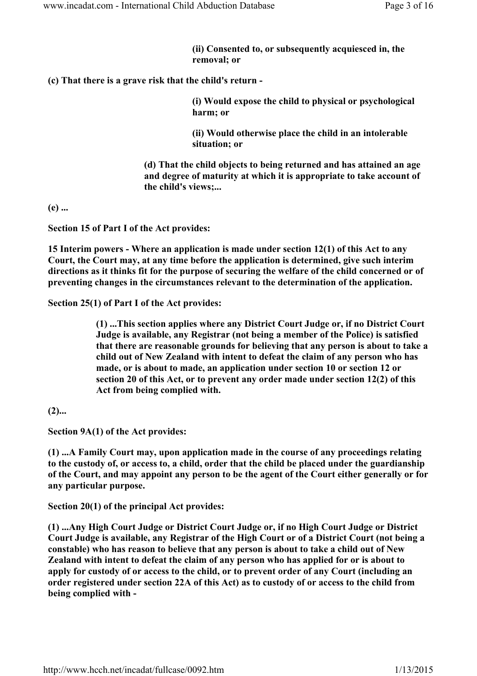(ii) Consented to, or subsequently acquiesced in, the removal; or

(c) That there is a grave risk that the child's return -

(i) Would expose the child to physical or psychological harm; or

(ii) Would otherwise place the child in an intolerable situation; or

(d) That the child objects to being returned and has attained an age and degree of maturity at which it is appropriate to take account of the child's views;...

(e) ...

Section 15 of Part I of the Act provides:

15 Interim powers - Where an application is made under section 12(1) of this Act to any Court, the Court may, at any time before the application is determined, give such interim directions as it thinks fit for the purpose of securing the welfare of the child concerned or of preventing changes in the circumstances relevant to the determination of the application.

Section 25(1) of Part I of the Act provides:

(1) ...This section applies where any District Court Judge or, if no District Court Judge is available, any Registrar (not being a member of the Police) is satisfied that there are reasonable grounds for believing that any person is about to take a child out of New Zealand with intent to defeat the claim of any person who has made, or is about to made, an application under section 10 or section 12 or section 20 of this Act, or to prevent any order made under section 12(2) of this Act from being complied with.

 $(2)$ ...

Section 9A(1) of the Act provides:

(1) ...A Family Court may, upon application made in the course of any proceedings relating to the custody of, or access to, a child, order that the child be placed under the guardianship of the Court, and may appoint any person to be the agent of the Court either generally or for any particular purpose.

Section 20(1) of the principal Act provides:

(1) ...Any High Court Judge or District Court Judge or, if no High Court Judge or District Court Judge is available, any Registrar of the High Court or of a District Court (not being a constable) who has reason to believe that any person is about to take a child out of New Zealand with intent to defeat the claim of any person who has applied for or is about to apply for custody of or access to the child, or to prevent order of any Court (including an order registered under section 22A of this Act) as to custody of or access to the child from being complied with -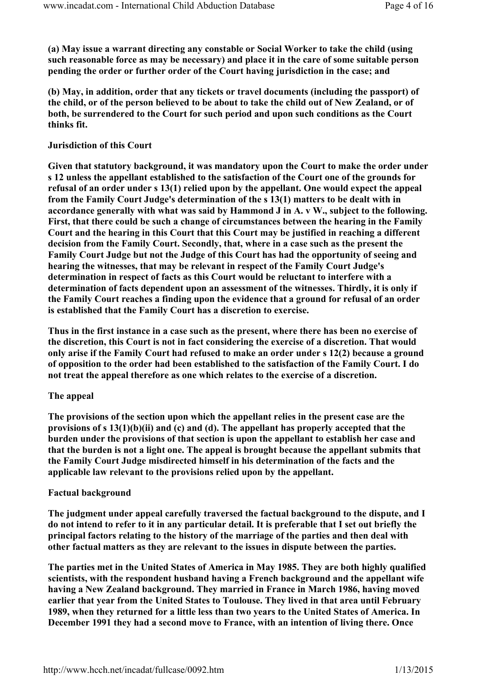(a) May issue a warrant directing any constable or Social Worker to take the child (using such reasonable force as may be necessary) and place it in the care of some suitable person pending the order or further order of the Court having jurisdiction in the case; and

(b) May, in addition, order that any tickets or travel documents (including the passport) of the child, or of the person believed to be about to take the child out of New Zealand, or of both, be surrendered to the Court for such period and upon such conditions as the Court thinks fit.

## Jurisdiction of this Court

Given that statutory background, it was mandatory upon the Court to make the order under s 12 unless the appellant established to the satisfaction of the Court one of the grounds for refusal of an order under s 13(1) relied upon by the appellant. One would expect the appeal from the Family Court Judge's determination of the s 13(1) matters to be dealt with in accordance generally with what was said by Hammond J in A. v W., subject to the following. First, that there could be such a change of circumstances between the hearing in the Family Court and the hearing in this Court that this Court may be justified in reaching a different decision from the Family Court. Secondly, that, where in a case such as the present the Family Court Judge but not the Judge of this Court has had the opportunity of seeing and hearing the witnesses, that may be relevant in respect of the Family Court Judge's determination in respect of facts as this Court would be reluctant to interfere with a determination of facts dependent upon an assessment of the witnesses. Thirdly, it is only if the Family Court reaches a finding upon the evidence that a ground for refusal of an order is established that the Family Court has a discretion to exercise.

Thus in the first instance in a case such as the present, where there has been no exercise of the discretion, this Court is not in fact considering the exercise of a discretion. That would only arise if the Family Court had refused to make an order under s 12(2) because a ground of opposition to the order had been established to the satisfaction of the Family Court. I do not treat the appeal therefore as one which relates to the exercise of a discretion.

### The appeal

The provisions of the section upon which the appellant relies in the present case are the provisions of s 13(1)(b)(ii) and (c) and (d). The appellant has properly accepted that the burden under the provisions of that section is upon the appellant to establish her case and that the burden is not a light one. The appeal is brought because the appellant submits that the Family Court Judge misdirected himself in his determination of the facts and the applicable law relevant to the provisions relied upon by the appellant.

### Factual background

The judgment under appeal carefully traversed the factual background to the dispute, and I do not intend to refer to it in any particular detail. It is preferable that I set out briefly the principal factors relating to the history of the marriage of the parties and then deal with other factual matters as they are relevant to the issues in dispute between the parties.

The parties met in the United States of America in May 1985. They are both highly qualified scientists, with the respondent husband having a French background and the appellant wife having a New Zealand background. They married in France in March 1986, having moved earlier that year from the United States to Toulouse. They lived in that area until February 1989, when they returned for a little less than two years to the United States of America. In December 1991 they had a second move to France, with an intention of living there. Once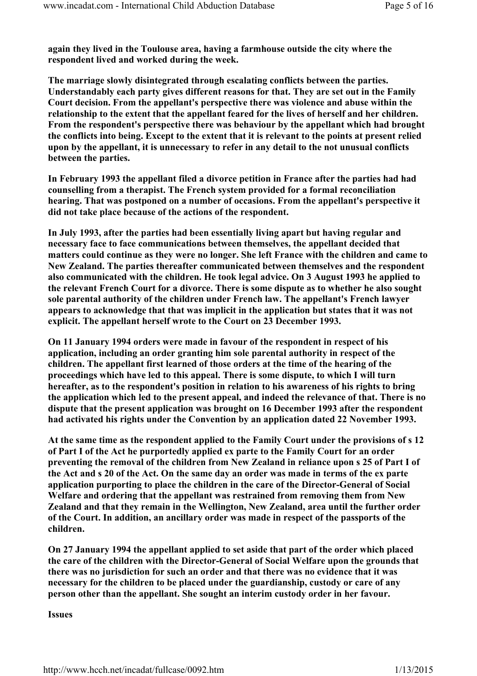again they lived in the Toulouse area, having a farmhouse outside the city where the respondent lived and worked during the week.

The marriage slowly disintegrated through escalating conflicts between the parties. Understandably each party gives different reasons for that. They are set out in the Family Court decision. From the appellant's perspective there was violence and abuse within the relationship to the extent that the appellant feared for the lives of herself and her children. From the respondent's perspective there was behaviour by the appellant which had brought the conflicts into being. Except to the extent that it is relevant to the points at present relied upon by the appellant, it is unnecessary to refer in any detail to the not unusual conflicts between the parties.

In February 1993 the appellant filed a divorce petition in France after the parties had had counselling from a therapist. The French system provided for a formal reconciliation hearing. That was postponed on a number of occasions. From the appellant's perspective it did not take place because of the actions of the respondent.

In July 1993, after the parties had been essentially living apart but having regular and necessary face to face communications between themselves, the appellant decided that matters could continue as they were no longer. She left France with the children and came to New Zealand. The parties thereafter communicated between themselves and the respondent also communicated with the children. He took legal advice. On 3 August 1993 he applied to the relevant French Court for a divorce. There is some dispute as to whether he also sought sole parental authority of the children under French law. The appellant's French lawyer appears to acknowledge that that was implicit in the application but states that it was not explicit. The appellant herself wrote to the Court on 23 December 1993.

On 11 January 1994 orders were made in favour of the respondent in respect of his application, including an order granting him sole parental authority in respect of the children. The appellant first learned of those orders at the time of the hearing of the proceedings which have led to this appeal. There is some dispute, to which I will turn hereafter, as to the respondent's position in relation to his awareness of his rights to bring the application which led to the present appeal, and indeed the relevance of that. There is no dispute that the present application was brought on 16 December 1993 after the respondent had activated his rights under the Convention by an application dated 22 November 1993.

At the same time as the respondent applied to the Family Court under the provisions of s 12 of Part I of the Act he purportedly applied ex parte to the Family Court for an order preventing the removal of the children from New Zealand in reliance upon s 25 of Part I of the Act and s 20 of the Act. On the same day an order was made in terms of the ex parte application purporting to place the children in the care of the Director-General of Social Welfare and ordering that the appellant was restrained from removing them from New Zealand and that they remain in the Wellington, New Zealand, area until the further order of the Court. In addition, an ancillary order was made in respect of the passports of the children.

On 27 January 1994 the appellant applied to set aside that part of the order which placed the care of the children with the Director-General of Social Welfare upon the grounds that there was no jurisdiction for such an order and that there was no evidence that it was necessary for the children to be placed under the guardianship, custody or care of any person other than the appellant. She sought an interim custody order in her favour.

Issues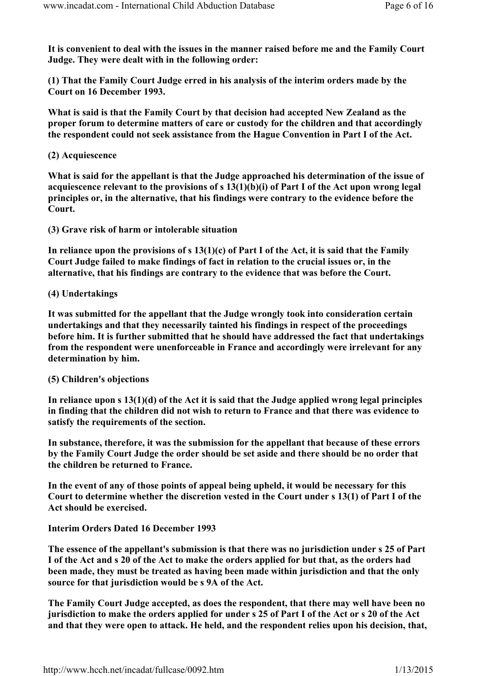It is convenient to deal with the issues in the manner raised before me and the Family Court Judge. They were dealt with in the following order:

(1) That the Family Court Judge erred in his analysis of the interim orders made by the Court on 16 December 1993.

What is said is that the Family Court by that decision had accepted New Zealand as the proper forum to determine matters of care or custody for the children and that accordingly the respondent could not seek assistance from the Hague Convention in Part I of the Act.

### (2) Acquiescence

What is said for the appellant is that the Judge approached his determination of the issue of acquiescence relevant to the provisions of s 13(1)(b)(i) of Part I of the Act upon wrong legal principles or, in the alternative, that his findings were contrary to the evidence before the Court.

(3) Grave risk of harm or intolerable situation

In reliance upon the provisions of s  $13(1)(c)$  of Part I of the Act, it is said that the Family Court Judge failed to make findings of fact in relation to the crucial issues or, in the alternative, that his findings are contrary to the evidence that was before the Court.

### (4) Undertakings

It was submitted for the appellant that the Judge wrongly took into consideration certain undertakings and that they necessarily tainted his findings in respect of the proceedings before him. It is further submitted that he should have addressed the fact that undertakings from the respondent were unenforceable in France and accordingly were irrelevant for any determination by him.

### (5) Children's objections

In reliance upon s 13(1)(d) of the Act it is said that the Judge applied wrong legal principles in finding that the children did not wish to return to France and that there was evidence to satisfy the requirements of the section.

In substance, therefore, it was the submission for the appellant that because of these errors by the Family Court Judge the order should be set aside and there should be no order that the children be returned to France.

In the event of any of those points of appeal being upheld, it would be necessary for this Court to determine whether the discretion vested in the Court under s 13(1) of Part I of the Act should be exercised.

### Interim Orders Dated 16 December 1993

The essence of the appellant's submission is that there was no jurisdiction under s 25 of Part I of the Act and s 20 of the Act to make the orders applied for but that, as the orders had been made, they must be treated as having been made within jurisdiction and that the only source for that jurisdiction would be s 9A of the Act.

The Family Court Judge accepted, as does the respondent, that there may well have been no jurisdiction to make the orders applied for under s 25 of Part I of the Act or s 20 of the Act and that they were open to attack. He held, and the respondent relies upon his decision, that,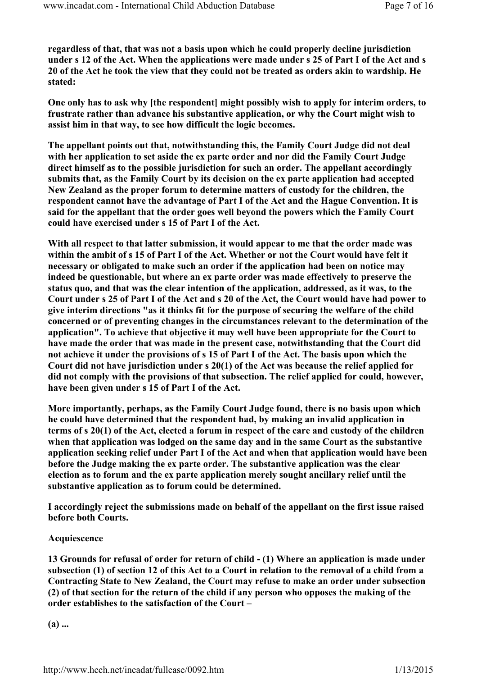regardless of that, that was not a basis upon which he could properly decline jurisdiction under s 12 of the Act. When the applications were made under s 25 of Part I of the Act and s 20 of the Act he took the view that they could not be treated as orders akin to wardship. He stated:

One only has to ask why [the respondent] might possibly wish to apply for interim orders, to frustrate rather than advance his substantive application, or why the Court might wish to assist him in that way, to see how difficult the logic becomes.

The appellant points out that, notwithstanding this, the Family Court Judge did not deal with her application to set aside the ex parte order and nor did the Family Court Judge direct himself as to the possible jurisdiction for such an order. The appellant accordingly submits that, as the Family Court by its decision on the ex parte application had accepted New Zealand as the proper forum to determine matters of custody for the children, the respondent cannot have the advantage of Part I of the Act and the Hague Convention. It is said for the appellant that the order goes well beyond the powers which the Family Court could have exercised under s 15 of Part I of the Act.

With all respect to that latter submission, it would appear to me that the order made was within the ambit of s 15 of Part I of the Act. Whether or not the Court would have felt it necessary or obligated to make such an order if the application had been on notice may indeed be questionable, but where an ex parte order was made effectively to preserve the status quo, and that was the clear intention of the application, addressed, as it was, to the Court under s 25 of Part I of the Act and s 20 of the Act, the Court would have had power to give interim directions "as it thinks fit for the purpose of securing the welfare of the child concerned or of preventing changes in the circumstances relevant to the determination of the application". To achieve that objective it may well have been appropriate for the Court to have made the order that was made in the present case, notwithstanding that the Court did not achieve it under the provisions of s 15 of Part I of the Act. The basis upon which the Court did not have jurisdiction under s 20(1) of the Act was because the relief applied for did not comply with the provisions of that subsection. The relief applied for could, however, have been given under s 15 of Part I of the Act.

More importantly, perhaps, as the Family Court Judge found, there is no basis upon which he could have determined that the respondent had, by making an invalid application in terms of s 20(1) of the Act, elected a forum in respect of the care and custody of the children when that application was lodged on the same day and in the same Court as the substantive application seeking relief under Part I of the Act and when that application would have been before the Judge making the ex parte order. The substantive application was the clear election as to forum and the ex parte application merely sought ancillary relief until the substantive application as to forum could be determined.

I accordingly reject the submissions made on behalf of the appellant on the first issue raised before both Courts.

### Acquiescence

13 Grounds for refusal of order for return of child - (1) Where an application is made under subsection (1) of section 12 of this Act to a Court in relation to the removal of a child from a Contracting State to New Zealand, the Court may refuse to make an order under subsection (2) of that section for the return of the child if any person who opposes the making of the order establishes to the satisfaction of the Court –

 $(a)$  ...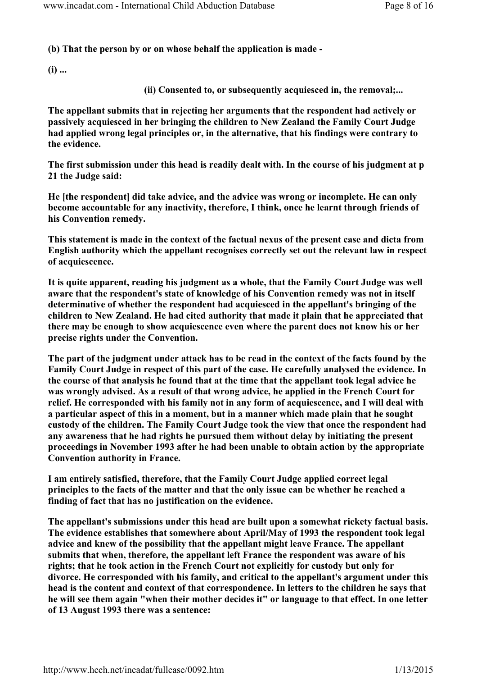(b) That the person by or on whose behalf the application is made -

 $(i)$  ...

(ii) Consented to, or subsequently acquiesced in, the removal;...

The appellant submits that in rejecting her arguments that the respondent had actively or passively acquiesced in her bringing the children to New Zealand the Family Court Judge had applied wrong legal principles or, in the alternative, that his findings were contrary to the evidence.

The first submission under this head is readily dealt with. In the course of his judgment at p 21 the Judge said:

He [the respondent] did take advice, and the advice was wrong or incomplete. He can only become accountable for any inactivity, therefore, I think, once he learnt through friends of his Convention remedy.

This statement is made in the context of the factual nexus of the present case and dicta from English authority which the appellant recognises correctly set out the relevant law in respect of acquiescence.

It is quite apparent, reading his judgment as a whole, that the Family Court Judge was well aware that the respondent's state of knowledge of his Convention remedy was not in itself determinative of whether the respondent had acquiesced in the appellant's bringing of the children to New Zealand. He had cited authority that made it plain that he appreciated that there may be enough to show acquiescence even where the parent does not know his or her precise rights under the Convention.

The part of the judgment under attack has to be read in the context of the facts found by the Family Court Judge in respect of this part of the case. He carefully analysed the evidence. In the course of that analysis he found that at the time that the appellant took legal advice he was wrongly advised. As a result of that wrong advice, he applied in the French Court for relief. He corresponded with his family not in any form of acquiescence, and I will deal with a particular aspect of this in a moment, but in a manner which made plain that he sought custody of the children. The Family Court Judge took the view that once the respondent had any awareness that he had rights he pursued them without delay by initiating the present proceedings in November 1993 after he had been unable to obtain action by the appropriate Convention authority in France.

I am entirely satisfied, therefore, that the Family Court Judge applied correct legal principles to the facts of the matter and that the only issue can be whether he reached a finding of fact that has no justification on the evidence.

The appellant's submissions under this head are built upon a somewhat rickety factual basis. The evidence establishes that somewhere about April/May of 1993 the respondent took legal advice and knew of the possibility that the appellant might leave France. The appellant submits that when, therefore, the appellant left France the respondent was aware of his rights; that he took action in the French Court not explicitly for custody but only for divorce. He corresponded with his family, and critical to the appellant's argument under this head is the content and context of that correspondence. In letters to the children he says that he will see them again "when their mother decides it" or language to that effect. In one letter of 13 August 1993 there was a sentence: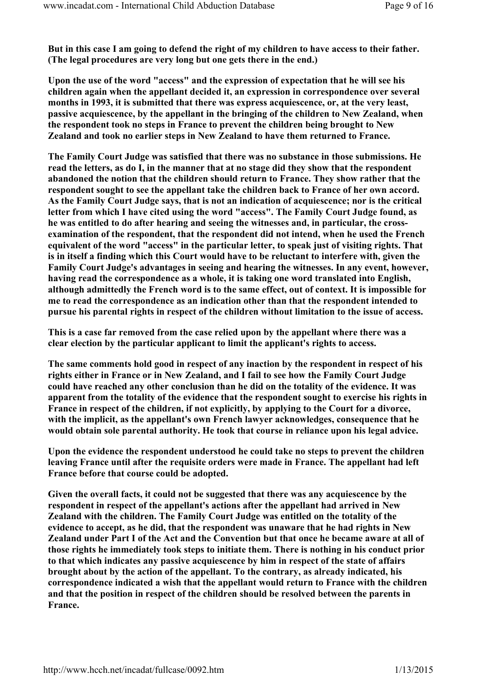But in this case I am going to defend the right of my children to have access to their father. (The legal procedures are very long but one gets there in the end.)

Upon the use of the word "access" and the expression of expectation that he will see his children again when the appellant decided it, an expression in correspondence over several months in 1993, it is submitted that there was express acquiescence, or, at the very least, passive acquiescence, by the appellant in the bringing of the children to New Zealand, when the respondent took no steps in France to prevent the children being brought to New Zealand and took no earlier steps in New Zealand to have them returned to France.

The Family Court Judge was satisfied that there was no substance in those submissions. He read the letters, as do I, in the manner that at no stage did they show that the respondent abandoned the notion that the children should return to France. They show rather that the respondent sought to see the appellant take the children back to France of her own accord. As the Family Court Judge says, that is not an indication of acquiescence; nor is the critical letter from which I have cited using the word "access". The Family Court Judge found, as he was entitled to do after hearing and seeing the witnesses and, in particular, the crossexamination of the respondent, that the respondent did not intend, when he used the French equivalent of the word "access" in the particular letter, to speak just of visiting rights. That is in itself a finding which this Court would have to be reluctant to interfere with, given the Family Court Judge's advantages in seeing and hearing the witnesses. In any event, however, having read the correspondence as a whole, it is taking one word translated into English, although admittedly the French word is to the same effect, out of context. It is impossible for me to read the correspondence as an indication other than that the respondent intended to pursue his parental rights in respect of the children without limitation to the issue of access.

This is a case far removed from the case relied upon by the appellant where there was a clear election by the particular applicant to limit the applicant's rights to access.

The same comments hold good in respect of any inaction by the respondent in respect of his rights either in France or in New Zealand, and I fail to see how the Family Court Judge could have reached any other conclusion than he did on the totality of the evidence. It was apparent from the totality of the evidence that the respondent sought to exercise his rights in France in respect of the children, if not explicitly, by applying to the Court for a divorce, with the implicit, as the appellant's own French lawyer acknowledges, consequence that he would obtain sole parental authority. He took that course in reliance upon his legal advice.

Upon the evidence the respondent understood he could take no steps to prevent the children leaving France until after the requisite orders were made in France. The appellant had left France before that course could be adopted.

Given the overall facts, it could not be suggested that there was any acquiescence by the respondent in respect of the appellant's actions after the appellant had arrived in New Zealand with the children. The Family Court Judge was entitled on the totality of the evidence to accept, as he did, that the respondent was unaware that he had rights in New Zealand under Part I of the Act and the Convention but that once he became aware at all of those rights he immediately took steps to initiate them. There is nothing in his conduct prior to that which indicates any passive acquiescence by him in respect of the state of affairs brought about by the action of the appellant. To the contrary, as already indicated, his correspondence indicated a wish that the appellant would return to France with the children and that the position in respect of the children should be resolved between the parents in France.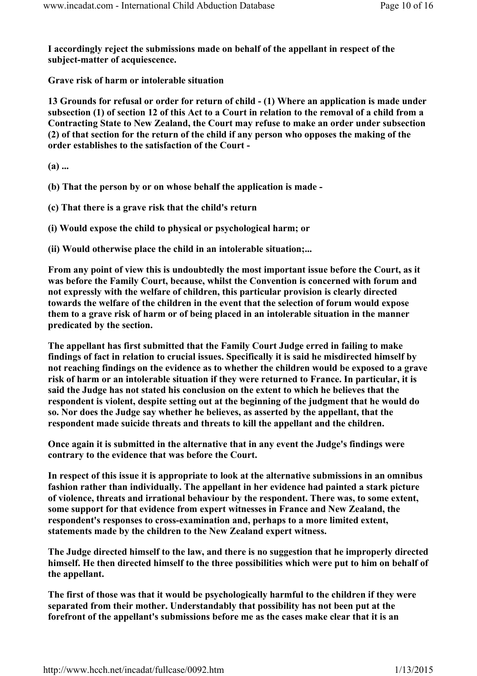I accordingly reject the submissions made on behalf of the appellant in respect of the subject-matter of acquiescence.

Grave risk of harm or intolerable situation

13 Grounds for refusal or order for return of child - (1) Where an application is made under subsection (1) of section 12 of this Act to a Court in relation to the removal of a child from a Contracting State to New Zealand, the Court may refuse to make an order under subsection (2) of that section for the return of the child if any person who opposes the making of the order establishes to the satisfaction of the Court -

(a) ...

(b) That the person by or on whose behalf the application is made -

(c) That there is a grave risk that the child's return

(i) Would expose the child to physical or psychological harm; or

(ii) Would otherwise place the child in an intolerable situation;...

From any point of view this is undoubtedly the most important issue before the Court, as it was before the Family Court, because, whilst the Convention is concerned with forum and not expressly with the welfare of children, this particular provision is clearly directed towards the welfare of the children in the event that the selection of forum would expose them to a grave risk of harm or of being placed in an intolerable situation in the manner predicated by the section.

The appellant has first submitted that the Family Court Judge erred in failing to make findings of fact in relation to crucial issues. Specifically it is said he misdirected himself by not reaching findings on the evidence as to whether the children would be exposed to a grave risk of harm or an intolerable situation if they were returned to France. In particular, it is said the Judge has not stated his conclusion on the extent to which he believes that the respondent is violent, despite setting out at the beginning of the judgment that he would do so. Nor does the Judge say whether he believes, as asserted by the appellant, that the respondent made suicide threats and threats to kill the appellant and the children.

Once again it is submitted in the alternative that in any event the Judge's findings were contrary to the evidence that was before the Court.

In respect of this issue it is appropriate to look at the alternative submissions in an omnibus fashion rather than individually. The appellant in her evidence had painted a stark picture of violence, threats and irrational behaviour by the respondent. There was, to some extent, some support for that evidence from expert witnesses in France and New Zealand, the respondent's responses to cross-examination and, perhaps to a more limited extent, statements made by the children to the New Zealand expert witness.

The Judge directed himself to the law, and there is no suggestion that he improperly directed himself. He then directed himself to the three possibilities which were put to him on behalf of the appellant.

The first of those was that it would be psychologically harmful to the children if they were separated from their mother. Understandably that possibility has not been put at the forefront of the appellant's submissions before me as the cases make clear that it is an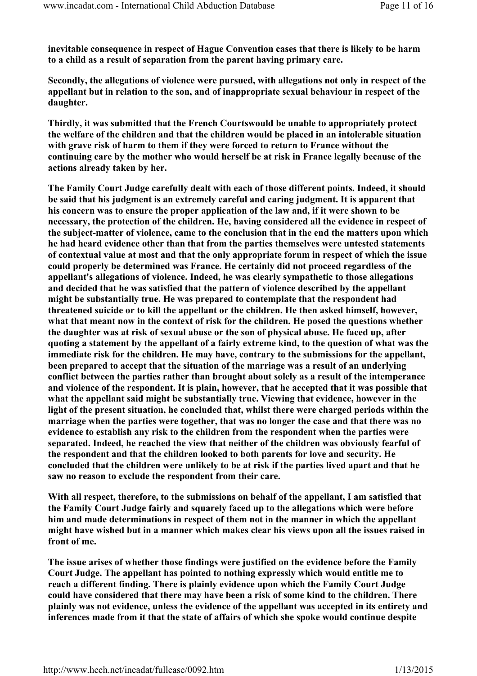inevitable consequence in respect of Hague Convention cases that there is likely to be harm to a child as a result of separation from the parent having primary care.

Secondly, the allegations of violence were pursued, with allegations not only in respect of the appellant but in relation to the son, and of inappropriate sexual behaviour in respect of the daughter.

Thirdly, it was submitted that the French Courtswould be unable to appropriately protect the welfare of the children and that the children would be placed in an intolerable situation with grave risk of harm to them if they were forced to return to France without the continuing care by the mother who would herself be at risk in France legally because of the actions already taken by her.

The Family Court Judge carefully dealt with each of those different points. Indeed, it should be said that his judgment is an extremely careful and caring judgment. It is apparent that his concern was to ensure the proper application of the law and, if it were shown to be necessary, the protection of the children. He, having considered all the evidence in respect of the subject-matter of violence, came to the conclusion that in the end the matters upon which he had heard evidence other than that from the parties themselves were untested statements of contextual value at most and that the only appropriate forum in respect of which the issue could properly be determined was France. He certainly did not proceed regardless of the appellant's allegations of violence. Indeed, he was clearly sympathetic to those allegations and decided that he was satisfied that the pattern of violence described by the appellant might be substantially true. He was prepared to contemplate that the respondent had threatened suicide or to kill the appellant or the children. He then asked himself, however, what that meant now in the context of risk for the children. He posed the questions whether the daughter was at risk of sexual abuse or the son of physical abuse. He faced up, after quoting a statement by the appellant of a fairly extreme kind, to the question of what was the immediate risk for the children. He may have, contrary to the submissions for the appellant, been prepared to accept that the situation of the marriage was a result of an underlying conflict between the parties rather than brought about solely as a result of the intemperance and violence of the respondent. It is plain, however, that he accepted that it was possible that what the appellant said might be substantially true. Viewing that evidence, however in the light of the present situation, he concluded that, whilst there were charged periods within the marriage when the parties were together, that was no longer the case and that there was no evidence to establish any risk to the children from the respondent when the parties were separated. Indeed, he reached the view that neither of the children was obviously fearful of the respondent and that the children looked to both parents for love and security. He concluded that the children were unlikely to be at risk if the parties lived apart and that he saw no reason to exclude the respondent from their care.

With all respect, therefore, to the submissions on behalf of the appellant, I am satisfied that the Family Court Judge fairly and squarely faced up to the allegations which were before him and made determinations in respect of them not in the manner in which the appellant might have wished but in a manner which makes clear his views upon all the issues raised in front of me.

The issue arises of whether those findings were justified on the evidence before the Family Court Judge. The appellant has pointed to nothing expressly which would entitle me to reach a different finding. There is plainly evidence upon which the Family Court Judge could have considered that there may have been a risk of some kind to the children. There plainly was not evidence, unless the evidence of the appellant was accepted in its entirety and inferences made from it that the state of affairs of which she spoke would continue despite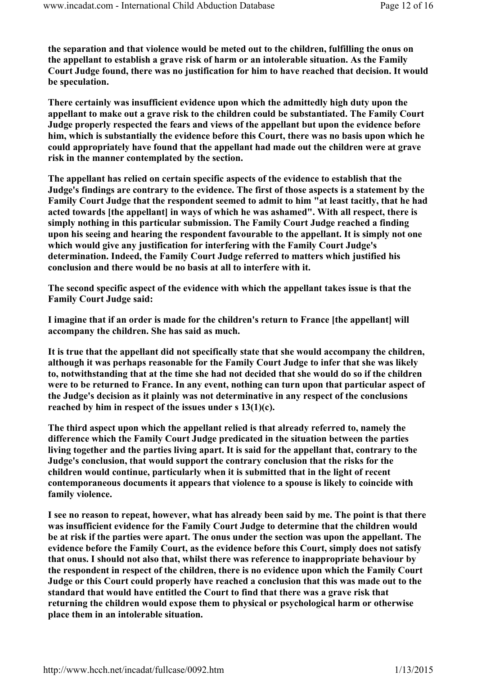the separation and that violence would be meted out to the children, fulfilling the onus on the appellant to establish a grave risk of harm or an intolerable situation. As the Family Court Judge found, there was no justification for him to have reached that decision. It would be speculation.

There certainly was insufficient evidence upon which the admittedly high duty upon the appellant to make out a grave risk to the children could be substantiated. The Family Court Judge properly respected the fears and views of the appellant but upon the evidence before him, which is substantially the evidence before this Court, there was no basis upon which he could appropriately have found that the appellant had made out the children were at grave risk in the manner contemplated by the section.

The appellant has relied on certain specific aspects of the evidence to establish that the Judge's findings are contrary to the evidence. The first of those aspects is a statement by the Family Court Judge that the respondent seemed to admit to him "at least tacitly, that he had acted towards [the appellant] in ways of which he was ashamed". With all respect, there is simply nothing in this particular submission. The Family Court Judge reached a finding upon his seeing and hearing the respondent favourable to the appellant. It is simply not one which would give any justification for interfering with the Family Court Judge's determination. Indeed, the Family Court Judge referred to matters which justified his conclusion and there would be no basis at all to interfere with it.

The second specific aspect of the evidence with which the appellant takes issue is that the Family Court Judge said:

I imagine that if an order is made for the children's return to France [the appellant] will accompany the children. She has said as much.

It is true that the appellant did not specifically state that she would accompany the children, although it was perhaps reasonable for the Family Court Judge to infer that she was likely to, notwithstanding that at the time she had not decided that she would do so if the children were to be returned to France. In any event, nothing can turn upon that particular aspect of the Judge's decision as it plainly was not determinative in any respect of the conclusions reached by him in respect of the issues under s 13(1)(c).

The third aspect upon which the appellant relied is that already referred to, namely the difference which the Family Court Judge predicated in the situation between the parties living together and the parties living apart. It is said for the appellant that, contrary to the Judge's conclusion, that would support the contrary conclusion that the risks for the children would continue, particularly when it is submitted that in the light of recent contemporaneous documents it appears that violence to a spouse is likely to coincide with family violence.

I see no reason to repeat, however, what has already been said by me. The point is that there was insufficient evidence for the Family Court Judge to determine that the children would be at risk if the parties were apart. The onus under the section was upon the appellant. The evidence before the Family Court, as the evidence before this Court, simply does not satisfy that onus. I should not also that, whilst there was reference to inappropriate behaviour by the respondent in respect of the children, there is no evidence upon which the Family Court Judge or this Court could properly have reached a conclusion that this was made out to the standard that would have entitled the Court to find that there was a grave risk that returning the children would expose them to physical or psychological harm or otherwise place them in an intolerable situation.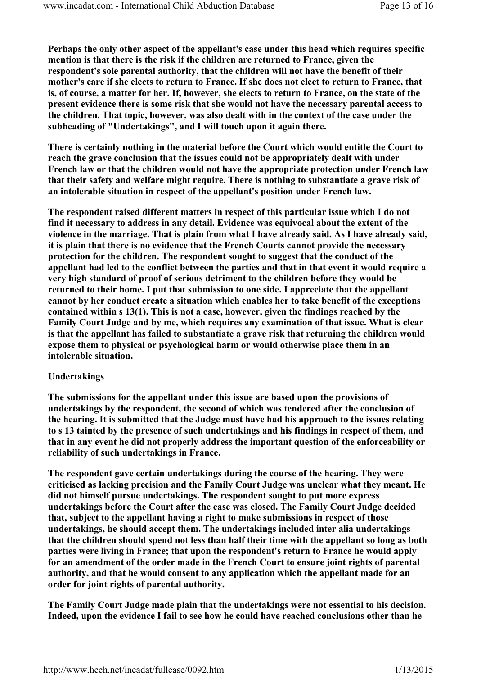Perhaps the only other aspect of the appellant's case under this head which requires specific mention is that there is the risk if the children are returned to France, given the respondent's sole parental authority, that the children will not have the benefit of their mother's care if she elects to return to France. If she does not elect to return to France, that is, of course, a matter for her. If, however, she elects to return to France, on the state of the present evidence there is some risk that she would not have the necessary parental access to the children. That topic, however, was also dealt with in the context of the case under the subheading of "Undertakings", and I will touch upon it again there.

There is certainly nothing in the material before the Court which would entitle the Court to reach the grave conclusion that the issues could not be appropriately dealt with under French law or that the children would not have the appropriate protection under French law that their safety and welfare might require. There is nothing to substantiate a grave risk of an intolerable situation in respect of the appellant's position under French law.

The respondent raised different matters in respect of this particular issue which I do not find it necessary to address in any detail. Evidence was equivocal about the extent of the violence in the marriage. That is plain from what I have already said. As I have already said, it is plain that there is no evidence that the French Courts cannot provide the necessary protection for the children. The respondent sought to suggest that the conduct of the appellant had led to the conflict between the parties and that in that event it would require a very high standard of proof of serious detriment to the children before they would be returned to their home. I put that submission to one side. I appreciate that the appellant cannot by her conduct create a situation which enables her to take benefit of the exceptions contained within s 13(1). This is not a case, however, given the findings reached by the Family Court Judge and by me, which requires any examination of that issue. What is clear is that the appellant has failed to substantiate a grave risk that returning the children would expose them to physical or psychological harm or would otherwise place them in an intolerable situation.

### Undertakings

The submissions for the appellant under this issue are based upon the provisions of undertakings by the respondent, the second of which was tendered after the conclusion of the hearing. It is submitted that the Judge must have had his approach to the issues relating to s 13 tainted by the presence of such undertakings and his findings in respect of them, and that in any event he did not properly address the important question of the enforceability or reliability of such undertakings in France.

The respondent gave certain undertakings during the course of the hearing. They were criticised as lacking precision and the Family Court Judge was unclear what they meant. He did not himself pursue undertakings. The respondent sought to put more express undertakings before the Court after the case was closed. The Family Court Judge decided that, subject to the appellant having a right to make submissions in respect of those undertakings, he should accept them. The undertakings included inter alia undertakings that the children should spend not less than half their time with the appellant so long as both parties were living in France; that upon the respondent's return to France he would apply for an amendment of the order made in the French Court to ensure joint rights of parental authority, and that he would consent to any application which the appellant made for an order for joint rights of parental authority.

The Family Court Judge made plain that the undertakings were not essential to his decision. Indeed, upon the evidence I fail to see how he could have reached conclusions other than he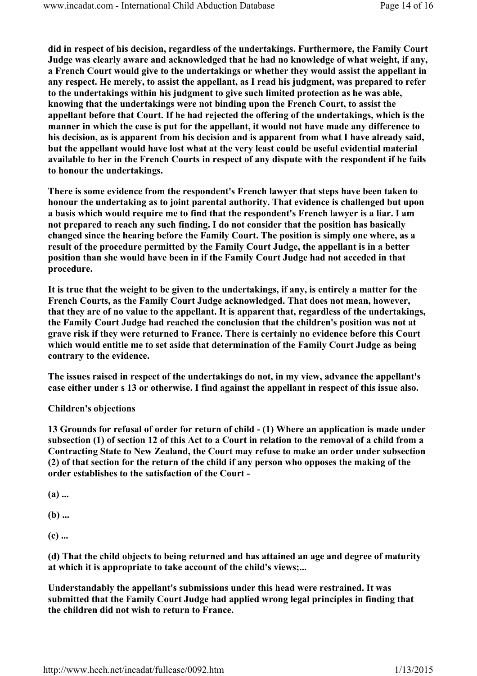did in respect of his decision, regardless of the undertakings. Furthermore, the Family Court Judge was clearly aware and acknowledged that he had no knowledge of what weight, if any, a French Court would give to the undertakings or whether they would assist the appellant in any respect. He merely, to assist the appellant, as I read his judgment, was prepared to refer to the undertakings within his judgment to give such limited protection as he was able, knowing that the undertakings were not binding upon the French Court, to assist the appellant before that Court. If he had rejected the offering of the undertakings, which is the manner in which the case is put for the appellant, it would not have made any difference to his decision, as is apparent from his decision and is apparent from what I have already said, but the appellant would have lost what at the very least could be useful evidential material available to her in the French Courts in respect of any dispute with the respondent if he fails to honour the undertakings.

There is some evidence from the respondent's French lawyer that steps have been taken to honour the undertaking as to joint parental authority. That evidence is challenged but upon a basis which would require me to find that the respondent's French lawyer is a liar. I am not prepared to reach any such finding. I do not consider that the position has basically changed since the hearing before the Family Court. The position is simply one where, as a result of the procedure permitted by the Family Court Judge, the appellant is in a better position than she would have been in if the Family Court Judge had not acceded in that procedure.

It is true that the weight to be given to the undertakings, if any, is entirely a matter for the French Courts, as the Family Court Judge acknowledged. That does not mean, however, that they are of no value to the appellant. It is apparent that, regardless of the undertakings, the Family Court Judge had reached the conclusion that the children's position was not at grave risk if they were returned to France. There is certainly no evidence before this Court which would entitle me to set aside that determination of the Family Court Judge as being contrary to the evidence.

The issues raised in respect of the undertakings do not, in my view, advance the appellant's case either under s 13 or otherwise. I find against the appellant in respect of this issue also.

### Children's objections

13 Grounds for refusal of order for return of child - (1) Where an application is made under subsection (1) of section 12 of this Act to a Court in relation to the removal of a child from a Contracting State to New Zealand, the Court may refuse to make an order under subsection (2) of that section for the return of the child if any person who opposes the making of the order establishes to the satisfaction of the Court -

(a) ...

 $(b)$  ...

(c) ...

(d) That the child objects to being returned and has attained an age and degree of maturity at which it is appropriate to take account of the child's views;...

Understandably the appellant's submissions under this head were restrained. It was submitted that the Family Court Judge had applied wrong legal principles in finding that the children did not wish to return to France.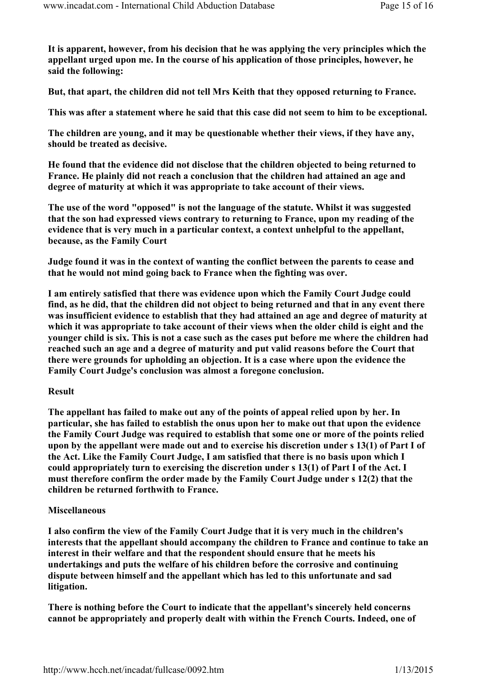It is apparent, however, from his decision that he was applying the very principles which the appellant urged upon me. In the course of his application of those principles, however, he said the following:

But, that apart, the children did not tell Mrs Keith that they opposed returning to France.

This was after a statement where he said that this case did not seem to him to be exceptional.

The children are young, and it may be questionable whether their views, if they have any, should be treated as decisive.

He found that the evidence did not disclose that the children objected to being returned to France. He plainly did not reach a conclusion that the children had attained an age and degree of maturity at which it was appropriate to take account of their views.

The use of the word "opposed" is not the language of the statute. Whilst it was suggested that the son had expressed views contrary to returning to France, upon my reading of the evidence that is very much in a particular context, a context unhelpful to the appellant, because, as the Family Court

Judge found it was in the context of wanting the conflict between the parents to cease and that he would not mind going back to France when the fighting was over.

I am entirely satisfied that there was evidence upon which the Family Court Judge could find, as he did, that the children did not object to being returned and that in any event there was insufficient evidence to establish that they had attained an age and degree of maturity at which it was appropriate to take account of their views when the older child is eight and the younger child is six. This is not a case such as the cases put before me where the children had reached such an age and a degree of maturity and put valid reasons before the Court that there were grounds for upholding an objection. It is a case where upon the evidence the Family Court Judge's conclusion was almost a foregone conclusion.

### Result

The appellant has failed to make out any of the points of appeal relied upon by her. In particular, she has failed to establish the onus upon her to make out that upon the evidence the Family Court Judge was required to establish that some one or more of the points relied upon by the appellant were made out and to exercise his discretion under s 13(1) of Part I of the Act. Like the Family Court Judge, I am satisfied that there is no basis upon which I could appropriately turn to exercising the discretion under s 13(1) of Part I of the Act. I must therefore confirm the order made by the Family Court Judge under s 12(2) that the children be returned forthwith to France.

#### Miscellaneous

I also confirm the view of the Family Court Judge that it is very much in the children's interests that the appellant should accompany the children to France and continue to take an interest in their welfare and that the respondent should ensure that he meets his undertakings and puts the welfare of his children before the corrosive and continuing dispute between himself and the appellant which has led to this unfortunate and sad litigation.

There is nothing before the Court to indicate that the appellant's sincerely held concerns cannot be appropriately and properly dealt with within the French Courts. Indeed, one of